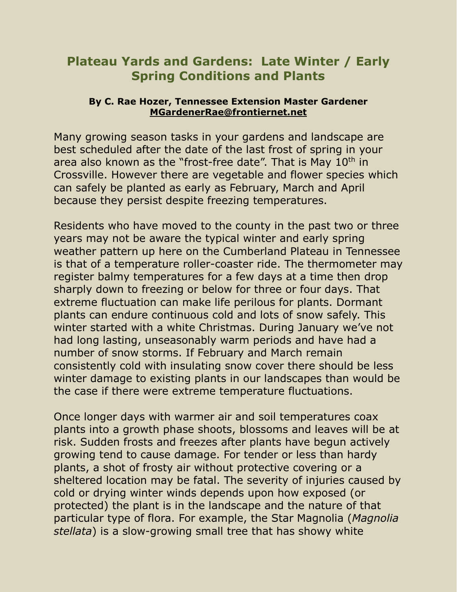## **Plateau Yards and Gardens: Late Winter / Early Spring Conditions and Plants**

## **By C. Rae Hozer, Tennessee Extension Master Gardener MGardenerRae@frontiernet.net**

Many growing season tasks in your gardens and landscape are best scheduled after the date of the last frost of spring in your area also known as the "frost-free date". That is May 10<sup>th</sup> in Crossville. However there are vegetable and flower species which can safely be planted as early as February, March and April because they persist despite freezing temperatures.

Residents who have moved to the county in the past two or three years may not be aware the typical winter and early spring weather pattern up here on the Cumberland Plateau in Tennessee is that of a temperature roller-coaster ride. The thermometer may register balmy temperatures for a few days at a time then drop sharply down to freezing or below for three or four days. That extreme fluctuation can make life perilous for plants. Dormant plants can endure continuous cold and lots of snow safely. This winter started with a white Christmas. During January we've not had long lasting, unseasonably warm periods and have had a number of snow storms. If February and March remain consistently cold with insulating snow cover there should be less winter damage to existing plants in our landscapes than would be the case if there were extreme temperature fluctuations.

Once longer days with warmer air and soil temperatures coax plants into a growth phase shoots, blossoms and leaves will be at risk. Sudden frosts and freezes after plants have begun actively growing tend to cause damage. For tender or less than hardy plants, a shot of frosty air without protective covering or a sheltered location may be fatal. The severity of injuries caused by cold or drying winter winds depends upon how exposed (or protected) the plant is in the landscape and the nature of that particular type of flora. For example, the Star Magnolia (*Magnolia stellata*) is a slow-growing small tree that has showy white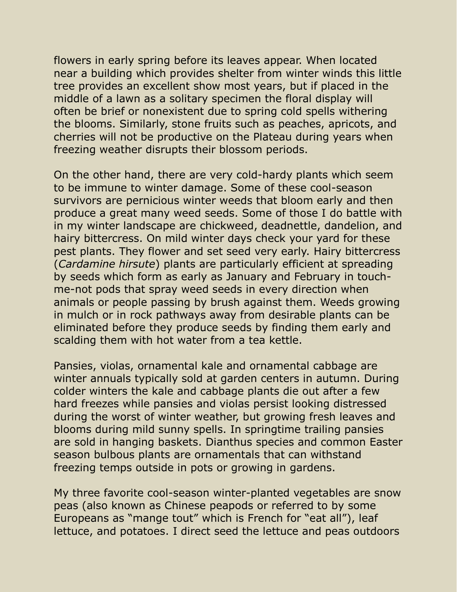flowers in early spring before its leaves appear. When located near a building which provides shelter from winter winds this little tree provides an excellent show most years, but if placed in the middle of a lawn as a solitary specimen the floral display will often be brief or nonexistent due to spring cold spells withering the blooms. Similarly, stone fruits such as peaches, apricots, and cherries will not be productive on the Plateau during years when freezing weather disrupts their blossom periods.

On the other hand, there are very cold-hardy plants which seem to be immune to winter damage. Some of these cool-season survivors are pernicious winter weeds that bloom early and then produce a great many weed seeds. Some of those I do battle with in my winter landscape are chickweed, deadnettle, dandelion, and hairy bittercress. On mild winter days check your yard for these pest plants. They flower and set seed very early. Hairy bittercress (*Cardamine hirsute*) plants are particularly efficient at spreading by seeds which form as early as January and February in touchme-not pods that spray weed seeds in every direction when animals or people passing by brush against them. Weeds growing in mulch or in rock pathways away from desirable plants can be eliminated before they produce seeds by finding them early and scalding them with hot water from a tea kettle.

Pansies, violas, ornamental kale and ornamental cabbage are winter annuals typically sold at garden centers in autumn. During colder winters the kale and cabbage plants die out after a few hard freezes while pansies and violas persist looking distressed during the worst of winter weather, but growing fresh leaves and blooms during mild sunny spells. In springtime trailing pansies are sold in hanging baskets. Dianthus species and common Easter season bulbous plants are ornamentals that can withstand freezing temps outside in pots or growing in gardens.

My three favorite cool-season winter-planted vegetables are snow peas (also known as Chinese peapods or referred to by some Europeans as "mange tout" which is French for "eat all"), leaf lettuce, and potatoes. I direct seed the lettuce and peas outdoors